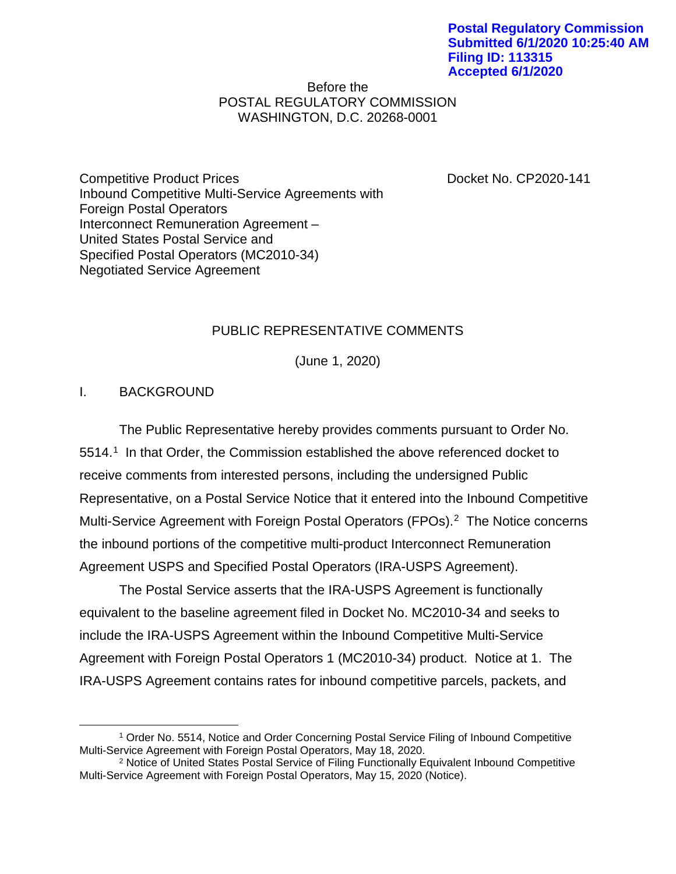### Before the POSTAL REGULATORY COMMISSION WASHINGTON, D.C. 20268-0001

Competitive Product Prices Docket No. CP2020-141 Inbound Competitive Multi-Service Agreements with Foreign Postal Operators Interconnect Remuneration Agreement – United States Postal Service and Specified Postal Operators (MC2010-34) Negotiated Service Agreement

# PUBLIC REPRESENTATIVE COMMENTS

(June 1, 2020)

## I. BACKGROUND

The Public Representative hereby provides comments pursuant to Order No. 5514. [1](#page-0-0) In that Order, the Commission established the above referenced docket to receive comments from interested persons, including the undersigned Public Representative, on a Postal Service Notice that it entered into the Inbound Competitive Multi-Service Agreement with Foreign Postal Operators (FPOs). [2](#page-0-1) The Notice concerns the inbound portions of the competitive multi-product Interconnect Remuneration Agreement USPS and Specified Postal Operators (IRA-USPS Agreement).

The Postal Service asserts that the IRA-USPS Agreement is functionally equivalent to the baseline agreement filed in Docket No. MC2010-34 and seeks to include the IRA-USPS Agreement within the Inbound Competitive Multi-Service Agreement with Foreign Postal Operators 1 (MC2010-34) product. Notice at 1. The IRA-USPS Agreement contains rates for inbound competitive parcels, packets, and

<span id="page-0-0"></span> <sup>1</sup> Order No. 5514, Notice and Order Concerning Postal Service Filing of Inbound Competitive Multi-Service Agreement with Foreign Postal Operators, May 18, 2020.

<span id="page-0-1"></span><sup>2</sup> Notice of United States Postal Service of Filing Functionally Equivalent Inbound Competitive Multi-Service Agreement with Foreign Postal Operators, May 15, 2020 (Notice).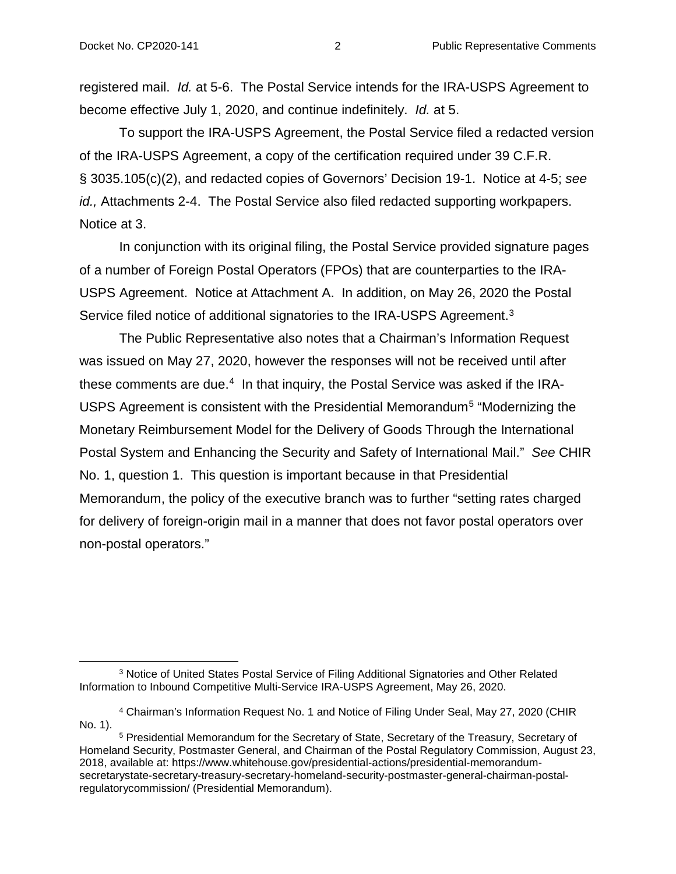registered mail. *Id.* at 5-6. The Postal Service intends for the IRA-USPS Agreement to become effective July 1, 2020, and continue indefinitely. *Id.* at 5.

To support the IRA-USPS Agreement, the Postal Service filed a redacted version of the IRA-USPS Agreement, a copy of the certification required under 39 C.F.R. § 3035.105(c)(2), and redacted copies of Governors' Decision 19-1. Notice at 4-5; *see id.,* Attachments 2-4. The Postal Service also filed redacted supporting workpapers. Notice at 3.

In conjunction with its original filing, the Postal Service provided signature pages of a number of Foreign Postal Operators (FPOs) that are counterparties to the IRA-USPS Agreement. Notice at Attachment A. In addition, on May 26, 2020 the Postal Service filed notice of additional signatories to the IRA-USPS Agreement.<sup>[3](#page-1-0)</sup>

The Public Representative also notes that a Chairman's Information Request was issued on May 27, 2020, however the responses will not be received until after these comments are due.<sup>[4](#page-1-1)</sup> In that inquiry, the Postal Service was asked if the IRA-USPS Agreement is consistent with the Presidential Memorandum[5](#page-1-2) "Modernizing the Monetary Reimbursement Model for the Delivery of Goods Through the International Postal System and Enhancing the Security and Safety of International Mail." *See* CHIR No. 1, question 1. This question is important because in that Presidential Memorandum, the policy of the executive branch was to further "setting rates charged for delivery of foreign-origin mail in a manner that does not favor postal operators over non-postal operators."

<span id="page-1-0"></span> <sup>3</sup> Notice of United States Postal Service of Filing Additional Signatories and Other Related Information to Inbound Competitive Multi-Service IRA-USPS Agreement, May 26, 2020.

<span id="page-1-1"></span><sup>4</sup> Chairman's Information Request No. 1 and Notice of Filing Under Seal, May 27, 2020 (CHIR No. 1).

<span id="page-1-2"></span><sup>5</sup> Presidential Memorandum for the Secretary of State, Secretary of the Treasury, Secretary of Homeland Security, Postmaster General, and Chairman of the Postal Regulatory Commission, August 23, 2018, available at: https://www.whitehouse.gov/presidential-actions/presidential-memorandumsecretarystate-secretary-treasury-secretary-homeland-security-postmaster-general-chairman-postalregulatorycommission/ (Presidential Memorandum).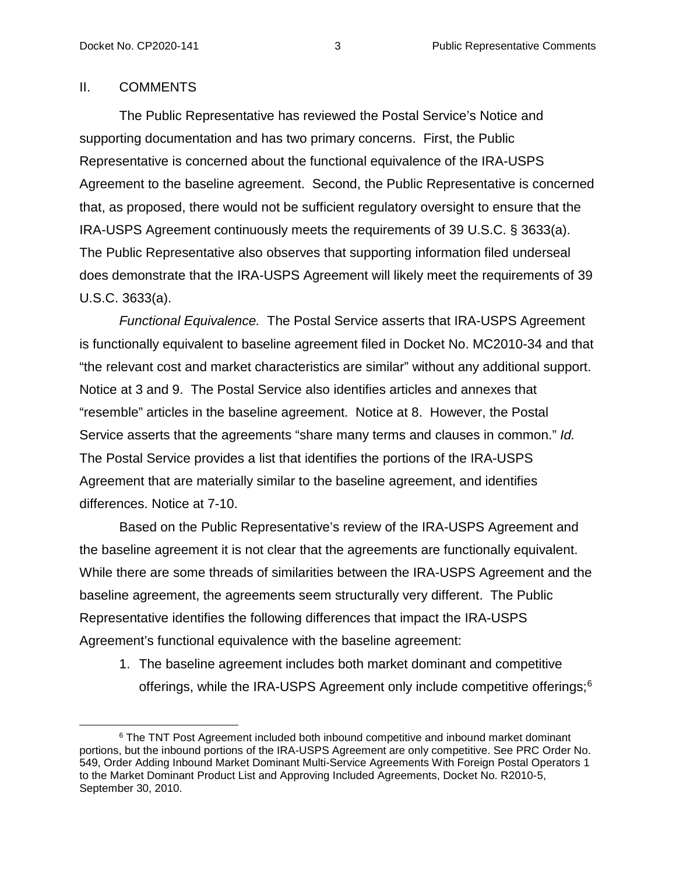### II. COMMENTS

The Public Representative has reviewed the Postal Service's Notice and supporting documentation and has two primary concerns. First, the Public Representative is concerned about the functional equivalence of the IRA-USPS Agreement to the baseline agreement. Second, the Public Representative is concerned that, as proposed, there would not be sufficient regulatory oversight to ensure that the IRA-USPS Agreement continuously meets the requirements of 39 U.S.C. § 3633(a). The Public Representative also observes that supporting information filed underseal does demonstrate that the IRA-USPS Agreement will likely meet the requirements of 39 U.S.C. 3633(a).

*Functional Equivalence.* The Postal Service asserts that IRA-USPS Agreement is functionally equivalent to baseline agreement filed in Docket No. MC2010-34 and that "the relevant cost and market characteristics are similar" without any additional support. Notice at 3 and 9. The Postal Service also identifies articles and annexes that "resemble" articles in the baseline agreement. Notice at 8. However, the Postal Service asserts that the agreements "share many terms and clauses in common." *Id.*  The Postal Service provides a list that identifies the portions of the IRA-USPS Agreement that are materially similar to the baseline agreement, and identifies differences. Notice at 7-10.

Based on the Public Representative's review of the IRA-USPS Agreement and the baseline agreement it is not clear that the agreements are functionally equivalent. While there are some threads of similarities between the IRA-USPS Agreement and the baseline agreement, the agreements seem structurally very different. The Public Representative identifies the following differences that impact the IRA-USPS Agreement's functional equivalence with the baseline agreement:

1. The baseline agreement includes both market dominant and competitive offerings, while the IRA-USPS Agreement only include competitive offerings;[6](#page-2-0)

<span id="page-2-0"></span><sup>&</sup>lt;sup>6</sup> The TNT Post Agreement included both inbound competitive and inbound market dominant portions, but the inbound portions of the IRA-USPS Agreement are only competitive. See PRC Order No. 549, Order Adding Inbound Market Dominant Multi-Service Agreements With Foreign Postal Operators 1 to the Market Dominant Product List and Approving Included Agreements, Docket No. R2010-5, September 30, 2010.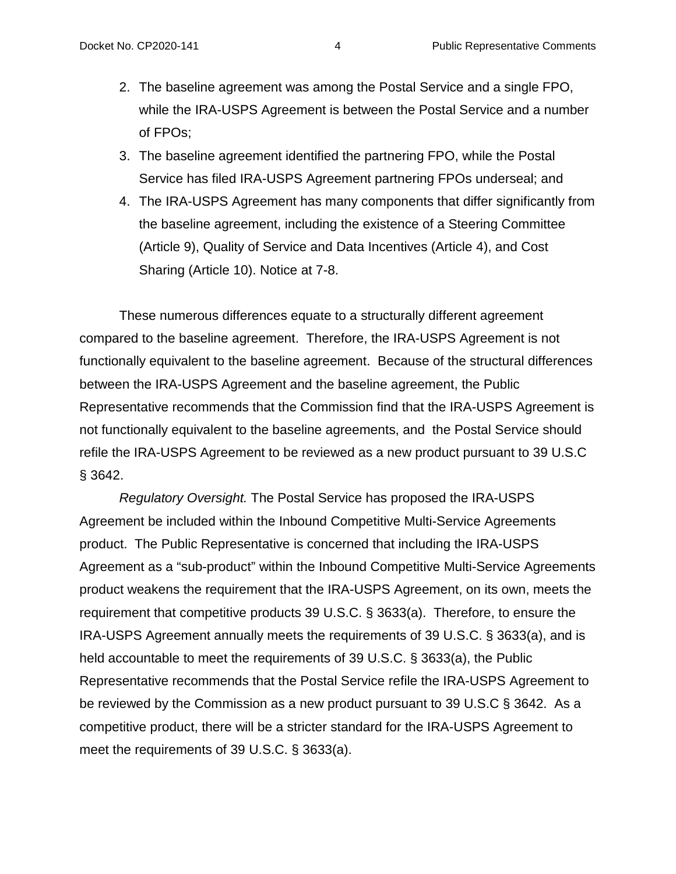- 2. The baseline agreement was among the Postal Service and a single FPO, while the IRA-USPS Agreement is between the Postal Service and a number of FPOs;
- 3. The baseline agreement identified the partnering FPO, while the Postal Service has filed IRA-USPS Agreement partnering FPOs underseal; and
- 4. The IRA-USPS Agreement has many components that differ significantly from the baseline agreement, including the existence of a Steering Committee (Article 9), Quality of Service and Data Incentives (Article 4), and Cost Sharing (Article 10). Notice at 7-8.

These numerous differences equate to a structurally different agreement compared to the baseline agreement. Therefore, the IRA-USPS Agreement is not functionally equivalent to the baseline agreement. Because of the structural differences between the IRA-USPS Agreement and the baseline agreement, the Public Representative recommends that the Commission find that the IRA-USPS Agreement is not functionally equivalent to the baseline agreements, and the Postal Service should refile the IRA-USPS Agreement to be reviewed as a new product pursuant to 39 U.S.C § 3642.

*Regulatory Oversight.* The Postal Service has proposed the IRA-USPS Agreement be included within the Inbound Competitive Multi-Service Agreements product. The Public Representative is concerned that including the IRA-USPS Agreement as a "sub-product" within the Inbound Competitive Multi-Service Agreements product weakens the requirement that the IRA-USPS Agreement, on its own, meets the requirement that competitive products 39 U.S.C. § 3633(a). Therefore, to ensure the IRA-USPS Agreement annually meets the requirements of 39 U.S.C. § 3633(a), and is held accountable to meet the requirements of 39 U.S.C. § 3633(a), the Public Representative recommends that the Postal Service refile the IRA-USPS Agreement to be reviewed by the Commission as a new product pursuant to 39 U.S.C § 3642. As a competitive product, there will be a stricter standard for the IRA-USPS Agreement to meet the requirements of 39 U.S.C. § 3633(a).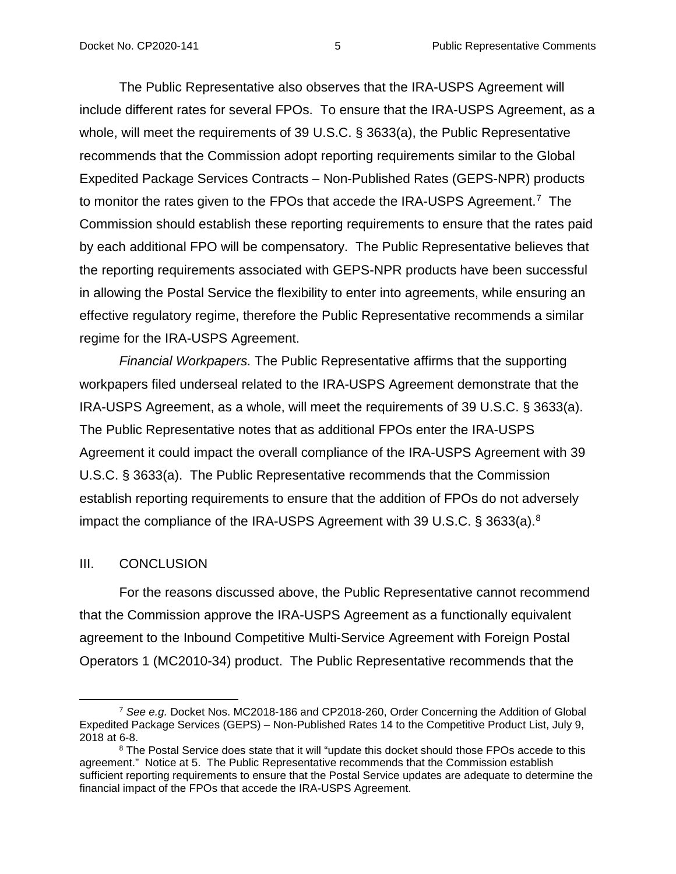The Public Representative also observes that the IRA-USPS Agreement will include different rates for several FPOs. To ensure that the IRA-USPS Agreement, as a whole, will meet the requirements of 39 U.S.C. § 3633(a), the Public Representative recommends that the Commission adopt reporting requirements similar to the Global Expedited Package Services Contracts – Non-Published Rates (GEPS-NPR) products to monitor the rates given to the FPOs that accede the IRA-USPS Agreement.<sup>[7](#page-4-0)</sup> The Commission should establish these reporting requirements to ensure that the rates paid by each additional FPO will be compensatory. The Public Representative believes that the reporting requirements associated with GEPS-NPR products have been successful in allowing the Postal Service the flexibility to enter into agreements, while ensuring an effective regulatory regime, therefore the Public Representative recommends a similar regime for the IRA-USPS Agreement.

*Financial Workpapers.* The Public Representative affirms that the supporting workpapers filed underseal related to the IRA-USPS Agreement demonstrate that the IRA-USPS Agreement, as a whole, will meet the requirements of 39 U.S.C. § 3633(a). The Public Representative notes that as additional FPOs enter the IRA-USPS Agreement it could impact the overall compliance of the IRA-USPS Agreement with 39 U.S.C. § 3633(a). The Public Representative recommends that the Commission establish reporting requirements to ensure that the addition of FPOs do not adversely impact the compliance of the IRA-USPS Agreement with 39 U.S.C. § 3633(a)[.8](#page-4-1) 

#### III. CONCLUSION

For the reasons discussed above, the Public Representative cannot recommend that the Commission approve the IRA-USPS Agreement as a functionally equivalent agreement to the Inbound Competitive Multi-Service Agreement with Foreign Postal Operators 1 (MC2010-34) product. The Public Representative recommends that the

<span id="page-4-0"></span> <sup>7</sup> *See e.g.* Docket Nos. MC2018-186 and CP2018-260, Order Concerning the Addition of Global Expedited Package Services (GEPS) – Non-Published Rates 14 to the Competitive Product List, July 9, 2018 at 6-8.

<span id="page-4-1"></span><sup>&</sup>lt;sup>8</sup> The Postal Service does state that it will "update this docket should those FPOs accede to this agreement." Notice at 5. The Public Representative recommends that the Commission establish sufficient reporting requirements to ensure that the Postal Service updates are adequate to determine the financial impact of the FPOs that accede the IRA-USPS Agreement.